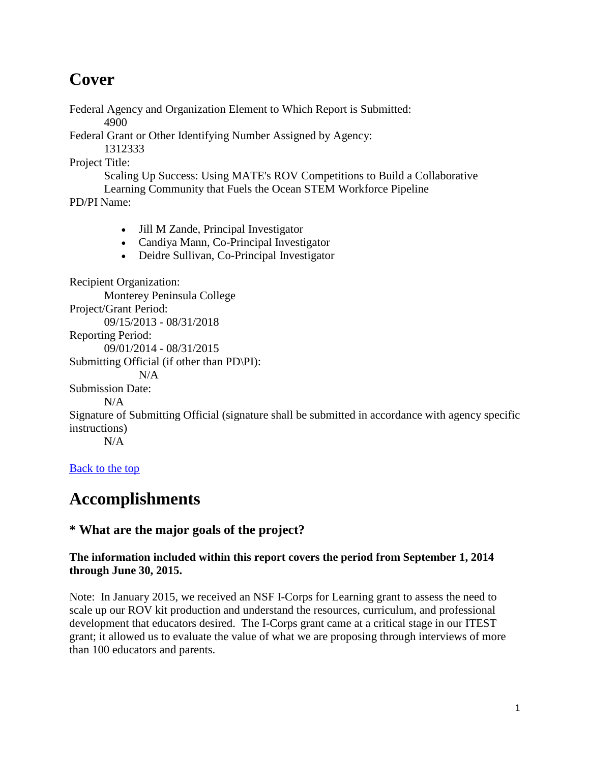# **Cover**

Federal Agency and Organization Element to Which Report is Submitted:

4900

Federal Grant or Other Identifying Number Assigned by Agency:

1312333

Project Title:

Scaling Up Success: Using MATE's ROV Competitions to Build a Collaborative Learning Community that Fuels the Ocean STEM Workforce Pipeline

PD/PI Name:

- Jill M Zande, Principal Investigator
- Candiya Mann, Co-Principal Investigator
- Deidre Sullivan, Co-Principal Investigator

Recipient Organization: Monterey Peninsula College Project/Grant Period: 09/15/2013 - 08/31/2018 Reporting Period: 09/01/2014 - 08/31/2015 Submitting Official (if other than PD\PI): N/A Submission Date: N/A Signature of Submitting Official (signature shall be submitted in accordance with agency specific instructions)  $N/A$ [Back to the top](https://reporting.research.gov/rppr-web/rppr?execution=e1s32#top)

# **Accomplishments**

### **\* What are the major goals of the project?**

#### **The information included within this report covers the period from September 1, 2014 through June 30, 2015.**

Note: In January 2015, we received an NSF I-Corps for Learning grant to assess the need to scale up our ROV kit production and understand the resources, curriculum, and professional development that educators desired. The I-Corps grant came at a critical stage in our ITEST grant; it allowed us to evaluate the value of what we are proposing through interviews of more than 100 educators and parents.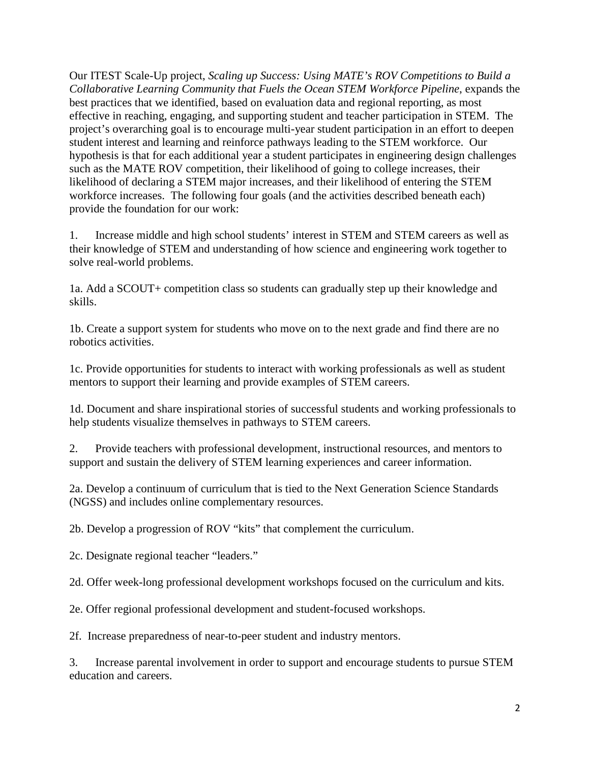Our ITEST Scale-Up project, *Scaling up Success: Using MATE's ROV Competitions to Build a Collaborative Learning Community that Fuels the Ocean STEM Workforce Pipeline*, expands the best practices that we identified, based on evaluation data and regional reporting, as most effective in reaching, engaging, and supporting student and teacher participation in STEM. The project's overarching goal is to encourage multi-year student participation in an effort to deepen student interest and learning and reinforce pathways leading to the STEM workforce. Our hypothesis is that for each additional year a student participates in engineering design challenges such as the MATE ROV competition, their likelihood of going to college increases, their likelihood of declaring a STEM major increases, and their likelihood of entering the STEM workforce increases. The following four goals (and the activities described beneath each) provide the foundation for our work:

1. Increase middle and high school students' interest in STEM and STEM careers as well as their knowledge of STEM and understanding of how science and engineering work together to solve real-world problems.

1a. Add a SCOUT+ competition class so students can gradually step up their knowledge and skills.

1b. Create a support system for students who move on to the next grade and find there are no robotics activities.

1c. Provide opportunities for students to interact with working professionals as well as student mentors to support their learning and provide examples of STEM careers.

1d. Document and share inspirational stories of successful students and working professionals to help students visualize themselves in pathways to STEM careers.

2. Provide teachers with professional development, instructional resources, and mentors to support and sustain the delivery of STEM learning experiences and career information.

2a. Develop a continuum of curriculum that is tied to the Next Generation Science Standards (NGSS) and includes online complementary resources.

2b. Develop a progression of ROV "kits" that complement the curriculum.

2c. Designate regional teacher "leaders."

2d. Offer week-long professional development workshops focused on the curriculum and kits.

2e. Offer regional professional development and student-focused workshops.

2f. Increase preparedness of near-to-peer student and industry mentors.

3. Increase parental involvement in order to support and encourage students to pursue STEM education and careers.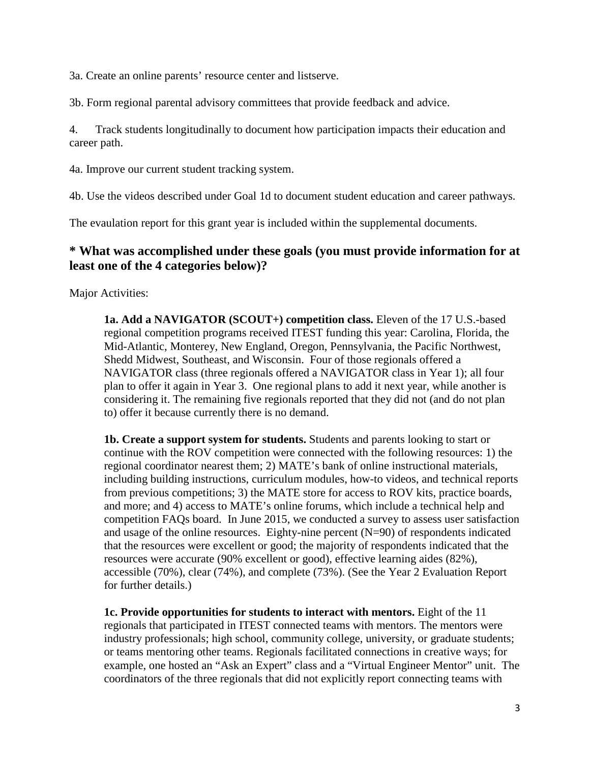3a. Create an online parents' resource center and listserve.

3b. Form regional parental advisory committees that provide feedback and advice.

4. Track students longitudinally to document how participation impacts their education and career path.

4a. Improve our current student tracking system.

4b. Use the videos described under Goal 1d to document student education and career pathways.

The evaulation report for this grant year is included within the supplemental documents.

#### **\* What was accomplished under these goals (you must provide information for at least one of the 4 categories below)?**

Major Activities:

**1a. Add a NAVIGATOR (SCOUT+) competition class.** Eleven of the 17 U.S.-based regional competition programs received ITEST funding this year: Carolina, Florida, the Mid-Atlantic, Monterey, New England, Oregon, Pennsylvania, the Pacific Northwest, Shedd Midwest, Southeast, and Wisconsin. Four of those regionals offered a NAVIGATOR class (three regionals offered a NAVIGATOR class in Year 1); all four plan to offer it again in Year 3. One regional plans to add it next year, while another is considering it. The remaining five regionals reported that they did not (and do not plan to) offer it because currently there is no demand.

**1b. Create a support system for students.** Students and parents looking to start or continue with the ROV competition were connected with the following resources: 1) the regional coordinator nearest them; 2) MATE's bank of online instructional materials, including building instructions, curriculum modules, how-to videos, and technical reports from previous competitions; 3) the MATE store for access to ROV kits, practice boards, and more; and 4) access to MATE's online forums, which include a technical help and competition FAQs board. In June 2015, we conducted a survey to assess user satisfaction and usage of the online resources. Eighty-nine percent (N=90) of respondents indicated that the resources were excellent or good; the majority of respondents indicated that the resources were accurate (90% excellent or good), effective learning aides (82%), accessible (70%), clear (74%), and complete (73%). (See the Year 2 Evaluation Report for further details.)

**1c. Provide opportunities for students to interact with mentors.** Eight of the 11 regionals that participated in ITEST connected teams with mentors. The mentors were industry professionals; high school, community college, university, or graduate students; or teams mentoring other teams. Regionals facilitated connections in creative ways; for example, one hosted an "Ask an Expert" class and a "Virtual Engineer Mentor" unit. The coordinators of the three regionals that did not explicitly report connecting teams with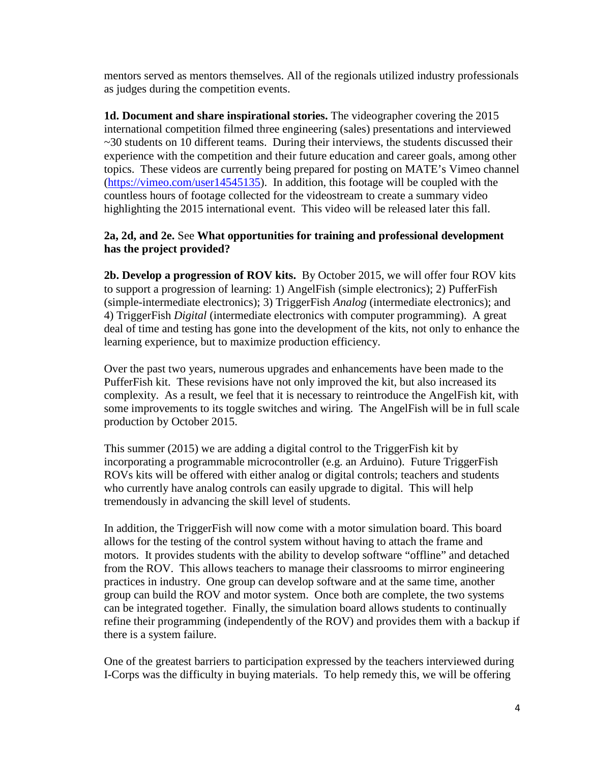mentors served as mentors themselves. All of the regionals utilized industry professionals as judges during the competition events.

**1d. Document and share inspirational stories.** The videographer covering the 2015 international competition filmed three engineering (sales) presentations and interviewed ~30 students on 10 different teams. During their interviews, the students discussed their experience with the competition and their future education and career goals, among other topics. These videos are currently being prepared for posting on MATE's Vimeo channel [\(https://vimeo.com/user14545135\)](https://vimeo.com/user14545135). In addition, this footage will be coupled with the countless hours of footage collected for the videostream to create a summary video highlighting the 2015 international event. This video will be released later this fall.

#### **2a, 2d, and 2e.** See **What opportunities for training and professional development has the project provided?**

**2b. Develop a progression of ROV kits.** By October 2015, we will offer four ROV kits to support a progression of learning: 1) AngelFish (simple electronics); 2) PufferFish (simple-intermediate electronics); 3) TriggerFish *Analog* (intermediate electronics); and 4) TriggerFish *Digital* (intermediate electronics with computer programming). A great deal of time and testing has gone into the development of the kits, not only to enhance the learning experience, but to maximize production efficiency.

Over the past two years, numerous upgrades and enhancements have been made to the PufferFish kit. These revisions have not only improved the kit, but also increased its complexity. As a result, we feel that it is necessary to reintroduce the AngelFish kit, with some improvements to its toggle switches and wiring. The AngelFish will be in full scale production by October 2015.

This summer (2015) we are adding a digital control to the TriggerFish kit by incorporating a programmable microcontroller (e.g. an Arduino). Future TriggerFish ROVs kits will be offered with either analog or digital controls; teachers and students who currently have analog controls can easily upgrade to digital. This will help tremendously in advancing the skill level of students.

In addition, the TriggerFish will now come with a motor simulation board. This board allows for the testing of the control system without having to attach the frame and motors. It provides students with the ability to develop software "offline" and detached from the ROV. This allows teachers to manage their classrooms to mirror engineering practices in industry. One group can develop software and at the same time, another group can build the ROV and motor system. Once both are complete, the two systems can be integrated together. Finally, the simulation board allows students to continually refine their programming (independently of the ROV) and provides them with a backup if there is a system failure.

One of the greatest barriers to participation expressed by the teachers interviewed during I-Corps was the difficulty in buying materials. To help remedy this, we will be offering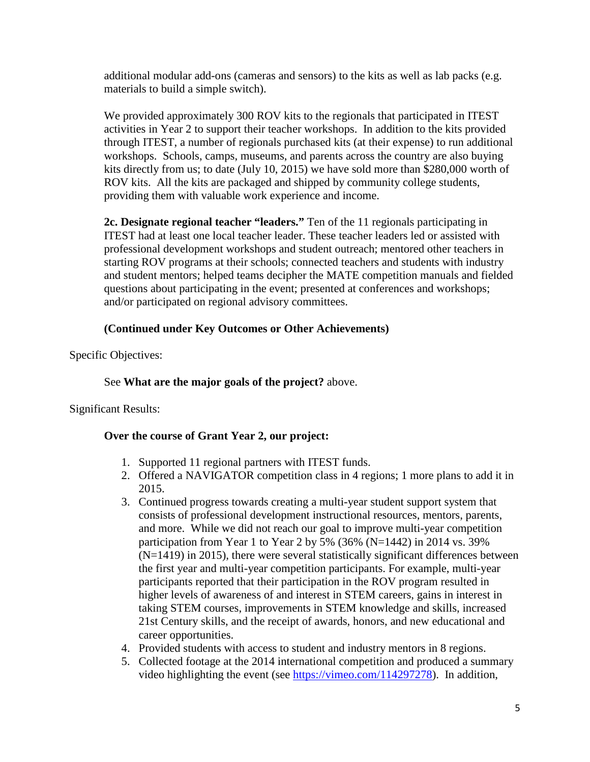additional modular add-ons (cameras and sensors) to the kits as well as lab packs (e.g. materials to build a simple switch).

We provided approximately 300 ROV kits to the regionals that participated in ITEST activities in Year 2 to support their teacher workshops. In addition to the kits provided through ITEST, a number of regionals purchased kits (at their expense) to run additional workshops. Schools, camps, museums, and parents across the country are also buying kits directly from us; to date (July 10, 2015) we have sold more than \$280,000 worth of ROV kits. All the kits are packaged and shipped by community college students, providing them with valuable work experience and income.

**2c. Designate regional teacher "leaders."** Ten of the 11 regionals participating in ITEST had at least one local teacher leader. These teacher leaders led or assisted with professional development workshops and student outreach; mentored other teachers in starting ROV programs at their schools; connected teachers and students with industry and student mentors; helped teams decipher the MATE competition manuals and fielded questions about participating in the event; presented at conferences and workshops; and/or participated on regional advisory committees.

#### **(Continued under Key Outcomes or Other Achievements)**

Specific Objectives:

#### See **What are the major goals of the project?** above.

Significant Results:

#### **Over the course of Grant Year 2, our project:**

- 1. Supported 11 regional partners with ITEST funds.
- 2. Offered a NAVIGATOR competition class in 4 regions; 1 more plans to add it in 2015.
- 3. Continued progress towards creating a multi-year student support system that consists of professional development instructional resources, mentors, parents, and more. While we did not reach our goal to improve multi-year competition participation from Year 1 to Year 2 by 5% (36% (N=1442) in 2014 vs. 39% (N=1419) in 2015), there were several statistically significant differences between the first year and multi-year competition participants. For example, multi-year participants reported that their participation in the ROV program resulted in higher levels of awareness of and interest in STEM careers, gains in interest in taking STEM courses, improvements in STEM knowledge and skills, increased 21st Century skills, and the receipt of awards, honors, and new educational and career opportunities.
- 4. Provided students with access to student and industry mentors in 8 regions.
- 5. Collected footage at the 2014 international competition and produced a summary video highlighting the event (see [https://vimeo.com/114297278\)](https://vimeo.com/114297278). In addition,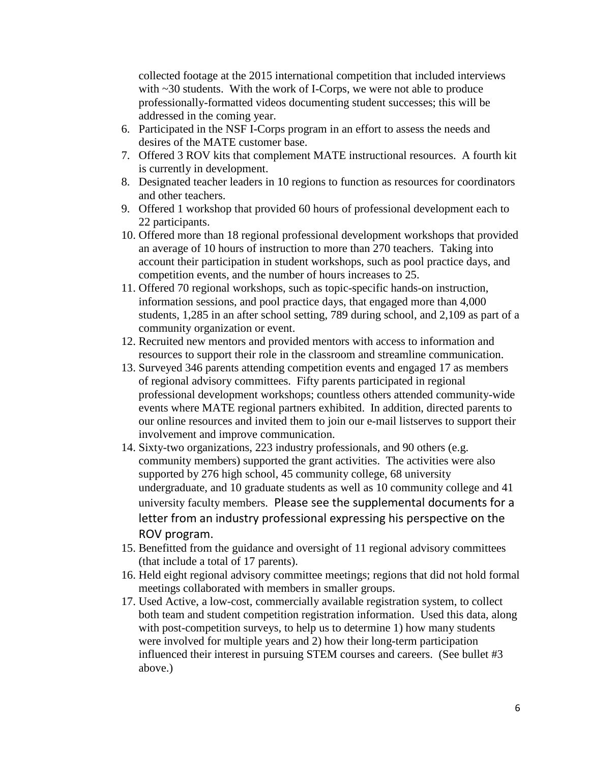collected footage at the 2015 international competition that included interviews with ~30 students. With the work of I-Corps, we were not able to produce professionally-formatted videos documenting student successes; this will be addressed in the coming year.

- 6. Participated in the NSF I-Corps program in an effort to assess the needs and desires of the MATE customer base.
- 7. Offered 3 ROV kits that complement MATE instructional resources. A fourth kit is currently in development.
- 8. Designated teacher leaders in 10 regions to function as resources for coordinators and other teachers.
- 9. Offered 1 workshop that provided 60 hours of professional development each to 22 participants.
- 10. Offered more than 18 regional professional development workshops that provided an average of 10 hours of instruction to more than 270 teachers. Taking into account their participation in student workshops, such as pool practice days, and competition events, and the number of hours increases to 25.
- 11. Offered 70 regional workshops, such as topic-specific hands-on instruction, information sessions, and pool practice days, that engaged more than 4,000 students, 1,285 in an after school setting, 789 during school, and 2,109 as part of a community organization or event.
- 12. Recruited new mentors and provided mentors with access to information and resources to support their role in the classroom and streamline communication.
- 13. Surveyed 346 parents attending competition events and engaged 17 as members of regional advisory committees. Fifty parents participated in regional professional development workshops; countless others attended community-wide events where MATE regional partners exhibited. In addition, directed parents to our online resources and invited them to join our e-mail listserves to support their involvement and improve communication.
- 14. Sixty-two organizations, 223 industry professionals, and 90 others (e.g. community members) supported the grant activities. The activities were also supported by 276 high school, 45 community college, 68 university undergraduate, and 10 graduate students as well as 10 community college and 41 university faculty members. Please see the supplemental documents for a letter from an industry professional expressing his perspective on the ROV program.
- 15. Benefitted from the guidance and oversight of 11 regional advisory committees (that include a total of 17 parents).
- 16. Held eight regional advisory committee meetings; regions that did not hold formal meetings collaborated with members in smaller groups.
- 17. Used Active, a low-cost, commercially available registration system, to collect both team and student competition registration information. Used this data, along with post-competition surveys, to help us to determine 1) how many students were involved for multiple years and 2) how their long-term participation influenced their interest in pursuing STEM courses and careers. (See bullet #3 above.)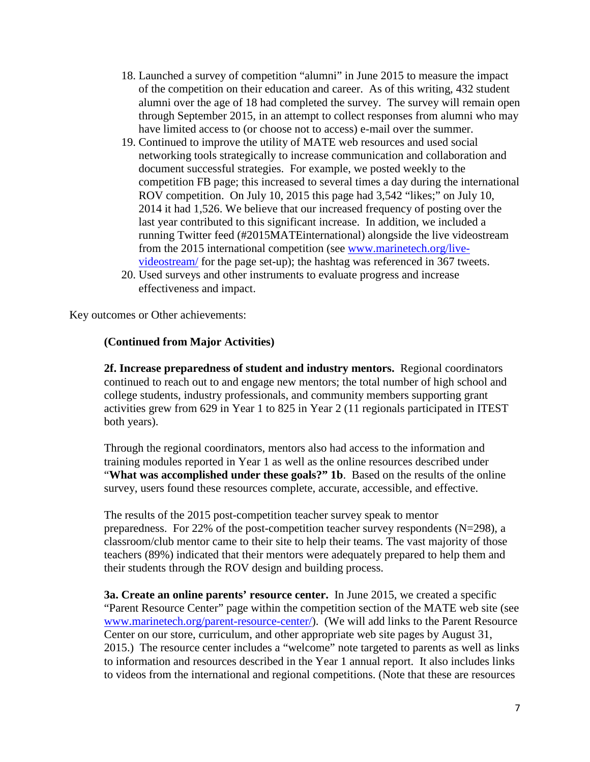- 18. Launched a survey of competition "alumni" in June 2015 to measure the impact of the competition on their education and career. As of this writing, 432 student alumni over the age of 18 had completed the survey. The survey will remain open through September 2015, in an attempt to collect responses from alumni who may have limited access to (or choose not to access) e-mail over the summer.
- 19. Continued to improve the utility of MATE web resources and used social networking tools strategically to increase communication and collaboration and document successful strategies. For example, we posted weekly to the competition FB page; this increased to several times a day during the international ROV competition. On July 10, 2015 this page had 3,542 "likes;" on July 10, 2014 it had 1,526. We believe that our increased frequency of posting over the last year contributed to this significant increase. In addition, we included a running Twitter feed (#2015MATEinternational) alongside the live videostream from the 2015 international competition (see [www.marinetech.org/live](http://www.marinetech.org/live-videostream/)[videostream/](http://www.marinetech.org/live-videostream/) for the page set-up); the hashtag was referenced in 367 tweets.
- 20. Used surveys and other instruments to evaluate progress and increase effectiveness and impact.

Key outcomes or Other achievements:

#### **(Continued from Major Activities)**

**2f. Increase preparedness of student and industry mentors.** Regional coordinators continued to reach out to and engage new mentors; the total number of high school and college students, industry professionals, and community members supporting grant activities grew from 629 in Year 1 to 825 in Year 2 (11 regionals participated in ITEST both years).

Through the regional coordinators, mentors also had access to the information and training modules reported in Year 1 as well as the online resources described under "**What was accomplished under these goals?" 1b**. Based on the results of the online survey, users found these resources complete, accurate, accessible, and effective.

The results of the 2015 post-competition teacher survey speak to mentor preparedness. For 22% of the post-competition teacher survey respondents (N=298), a classroom/club mentor came to their site to help their teams. The vast majority of those teachers (89%) indicated that their mentors were adequately prepared to help them and their students through the ROV design and building process.

**3a. Create an online parents' resource center.** In June 2015, we created a specific "Parent Resource Center" page within the competition section of the MATE web site (see [www.marinetech.org/parent-resource-center/\)](http://www.marinetech.org/parent-resource-center/). (We will add links to the Parent Resource Center on our store, curriculum, and other appropriate web site pages by August 31, 2015.) The resource center includes a "welcome" note targeted to parents as well as links to information and resources described in the Year 1 annual report. It also includes links to videos from the international and regional competitions. (Note that these are resources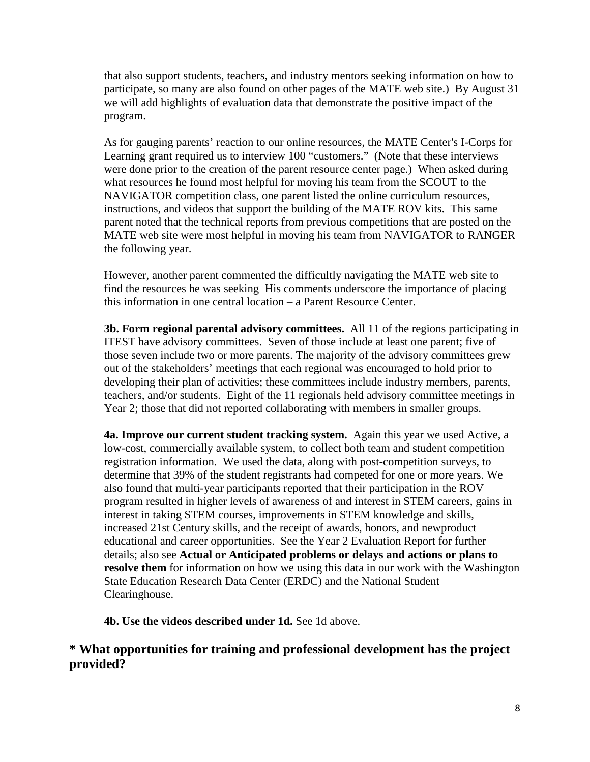that also support students, teachers, and industry mentors seeking information on how to participate, so many are also found on other pages of the MATE web site.) By August 31 we will add highlights of evaluation data that demonstrate the positive impact of the program.

As for gauging parents' reaction to our online resources, the MATE Center's I-Corps for Learning grant required us to interview 100 "customers." (Note that these interviews were done prior to the creation of the parent resource center page.) When asked during what resources he found most helpful for moving his team from the SCOUT to the NAVIGATOR competition class, one parent listed the online curriculum resources, instructions, and videos that support the building of the MATE ROV kits. This same parent noted that the technical reports from previous competitions that are posted on the MATE web site were most helpful in moving his team from NAVIGATOR to RANGER the following year.

However, another parent commented the difficultly navigating the MATE web site to find the resources he was seeking His comments underscore the importance of placing this information in one central location – a Parent Resource Center.

**3b. Form regional parental advisory committees.** All 11 of the regions participating in ITEST have advisory committees. Seven of those include at least one parent; five of those seven include two or more parents. The majority of the advisory committees grew out of the stakeholders' meetings that each regional was encouraged to hold prior to developing their plan of activities; these committees include industry members, parents, teachers, and/or students. Eight of the 11 regionals held advisory committee meetings in Year 2; those that did not reported collaborating with members in smaller groups.

**4a. Improve our current student tracking system.** Again this year we used Active, a low-cost, commercially available system, to collect both team and student competition registration information. We used the data, along with post-competition surveys, to determine that 39% of the student registrants had competed for one or more years. We also found that multi-year participants reported that their participation in the ROV program resulted in higher levels of awareness of and interest in STEM careers, gains in interest in taking STEM courses, improvements in STEM knowledge and skills, increased 21st Century skills, and the receipt of awards, honors, and newproduct educational and career opportunities. See the Year 2 Evaluation Report for further details; also see **Actual or Anticipated problems or delays and actions or plans to resolve them** for information on how we using this data in our work with the Washington State Education Research Data Center (ERDC) and the National Student Clearinghouse.

**4b. Use the videos described under 1d. See 1d above.** 

#### **\* What opportunities for training and professional development has the project provided?**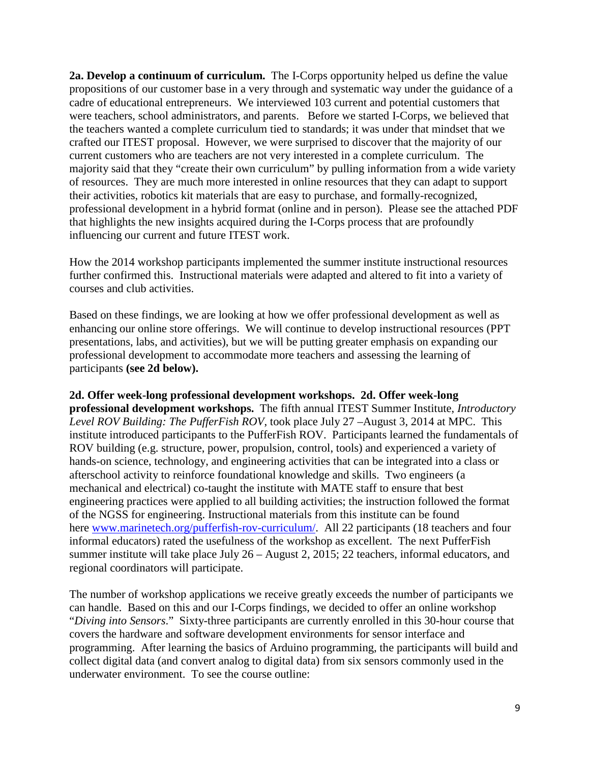**2a. Develop a continuum of curriculum.** The I-Corps opportunity helped us define the value propositions of our customer base in a very through and systematic way under the guidance of a cadre of educational entrepreneurs. We interviewed 103 current and potential customers that were teachers, school administrators, and parents. Before we started I-Corps, we believed that the teachers wanted a complete curriculum tied to standards; it was under that mindset that we crafted our ITEST proposal. However, we were surprised to discover that the majority of our current customers who are teachers are not very interested in a complete curriculum. The majority said that they "create their own curriculum" by pulling information from a wide variety of resources. They are much more interested in online resources that they can adapt to support their activities, robotics kit materials that are easy to purchase, and formally-recognized, professional development in a hybrid format (online and in person). Please see the attached PDF that highlights the new insights acquired during the I-Corps process that are profoundly influencing our current and future ITEST work.

How the 2014 workshop participants implemented the summer institute instructional resources further confirmed this. Instructional materials were adapted and altered to fit into a variety of courses and club activities.

Based on these findings, we are looking at how we offer professional development as well as enhancing our online store offerings. We will continue to develop instructional resources (PPT presentations, labs, and activities), but we will be putting greater emphasis on expanding our professional development to accommodate more teachers and assessing the learning of participants **(see 2d below).**

#### **2d. Offer week-long professional development workshops. 2d. Offer week-long**

**professional development workshops.** The fifth annual ITEST Summer Institute, *Introductory Level ROV Building: The PufferFish ROV*, took place July 27 –August 3, 2014 at MPC. This institute introduced participants to the PufferFish ROV. Participants learned the fundamentals of ROV building (e.g. structure, power, propulsion, control, tools) and experienced a variety of hands-on science, technology, and engineering activities that can be integrated into a class or afterschool activity to reinforce foundational knowledge and skills. Two engineers (a mechanical and electrical) co-taught the institute with MATE staff to ensure that best engineering practices were applied to all building activities; the instruction followed the format of the NGSS for engineering. Instructional materials from this institute can be found here [www.marinetech.org/pufferfish-rov-curriculum/.](http://www.marinetech.org/pufferfish-rov-curriculum/) All 22 participants (18 teachers and four informal educators) rated the usefulness of the workshop as excellent. The next PufferFish summer institute will take place July 26 – August 2, 2015; 22 teachers, informal educators, and regional coordinators will participate.

The number of workshop applications we receive greatly exceeds the number of participants we can handle. Based on this and our I-Corps findings, we decided to offer an online workshop "*Diving into Sensors*." Sixty-three participants are currently enrolled in this 30-hour course that covers the hardware and software development environments for sensor interface and programming. After learning the basics of Arduino programming, the participants will build and collect digital data (and convert analog to digital data) from six sensors commonly used in the underwater environment. To see the course outline: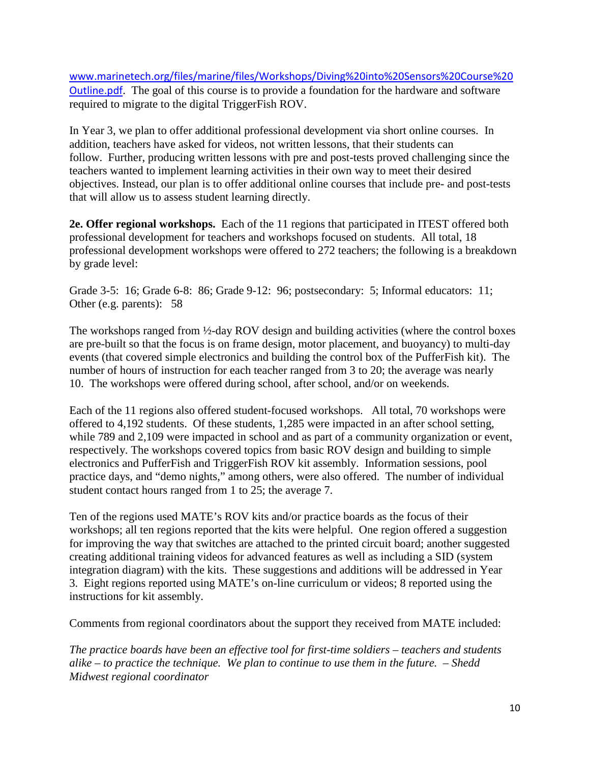[www.marinetech.org/files/marine/files/Workshops/Diving%20into%20Sensors%20Course%20](http://www.marinetech.org/files/marine/files/Workshops/Diving%20into%20Sensors%20Course%20Outline.pdf) [Outline.pdf](http://www.marinetech.org/files/marine/files/Workshops/Diving%20into%20Sensors%20Course%20Outline.pdf). The goal of this course is to provide a foundation for the hardware and software required to migrate to the digital TriggerFish ROV.

In Year 3, we plan to offer additional professional development via short online courses. In addition, teachers have asked for videos, not written lessons, that their students can follow. Further, producing written lessons with pre and post-tests proved challenging since the teachers wanted to implement learning activities in their own way to meet their desired objectives. Instead, our plan is to offer additional online courses that include pre- and post-tests that will allow us to assess student learning directly.

**2e. Offer regional workshops.** Each of the 11 regions that participated in ITEST offered both professional development for teachers and workshops focused on students. All total, 18 professional development workshops were offered to 272 teachers; the following is a breakdown by grade level:

Grade 3-5: 16; Grade 6-8: 86; Grade 9-12: 96; postsecondary: 5; Informal educators: 11; Other (e.g. parents): 58

The workshops ranged from ½-day ROV design and building activities (where the control boxes are pre-built so that the focus is on frame design, motor placement, and buoyancy) to multi-day events (that covered simple electronics and building the control box of the PufferFish kit). The number of hours of instruction for each teacher ranged from 3 to 20; the average was nearly 10. The workshops were offered during school, after school, and/or on weekends.

Each of the 11 regions also offered student-focused workshops. All total, 70 workshops were offered to 4,192 students. Of these students, 1,285 were impacted in an after school setting, while 789 and 2,109 were impacted in school and as part of a community organization or event, respectively. The workshops covered topics from basic ROV design and building to simple electronics and PufferFish and TriggerFish ROV kit assembly. Information sessions, pool practice days, and "demo nights," among others, were also offered. The number of individual student contact hours ranged from 1 to 25; the average 7.

Ten of the regions used MATE's ROV kits and/or practice boards as the focus of their workshops; all ten regions reported that the kits were helpful. One region offered a suggestion for improving the way that switches are attached to the printed circuit board; another suggested creating additional training videos for advanced features as well as including a SID (system integration diagram) with the kits. These suggestions and additions will be addressed in Year 3. Eight regions reported using MATE's on-line curriculum or videos; 8 reported using the instructions for kit assembly.

Comments from regional coordinators about the support they received from MATE included:

*The practice boards have been an effective tool for first-time soldiers – teachers and students alike – to practice the technique. We plan to continue to use them in the future. – Shedd Midwest regional coordinator*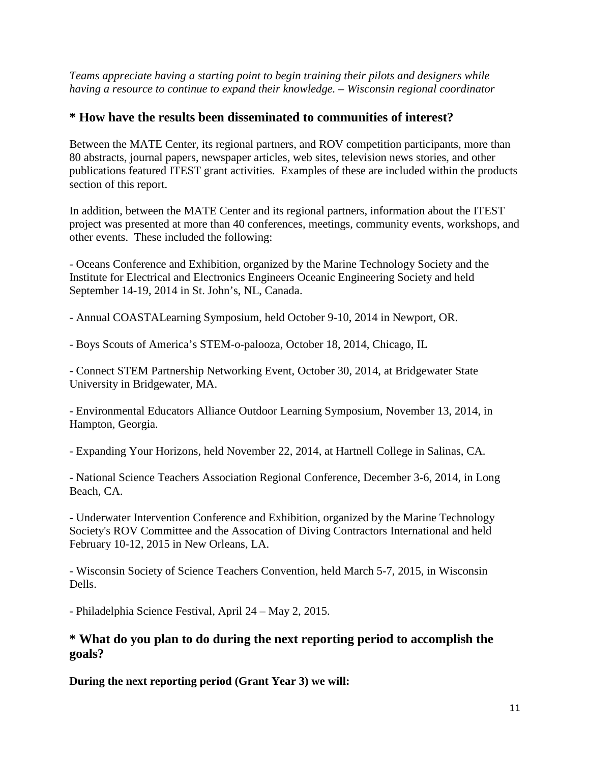*Teams appreciate having a starting point to begin training their pilots and designers while having a resource to continue to expand their knowledge. – Wisconsin regional coordinator* 

#### **\* How have the results been disseminated to communities of interest?**

Between the MATE Center, its regional partners, and ROV competition participants, more than 80 abstracts, journal papers, newspaper articles, web sites, television news stories, and other publications featured ITEST grant activities. Examples of these are included within the products section of this report.

In addition, between the MATE Center and its regional partners, information about the ITEST project was presented at more than 40 conferences, meetings, community events, workshops, and other events. These included the following:

- Oceans Conference and Exhibition, organized by the Marine Technology Society and the Institute for Electrical and Electronics Engineers Oceanic Engineering Society and held September 14-19, 2014 in St. John's, NL, Canada.

- Annual COASTALearning Symposium, held October 9-10, 2014 in Newport, OR.

- Boys Scouts of America's STEM-o-palooza, October 18, 2014, Chicago, IL

- Connect STEM Partnership Networking Event, October 30, 2014, at Bridgewater State University in Bridgewater, MA.

- Environmental Educators Alliance Outdoor Learning Symposium, November 13, 2014, in Hampton, Georgia.

- Expanding Your Horizons, held November 22, 2014, at Hartnell College in Salinas, CA.

- National Science Teachers Association Regional Conference, December 3-6, 2014, in Long Beach, CA.

- Underwater Intervention Conference and Exhibition, organized by the Marine Technology Society's ROV Committee and the Assocation of Diving Contractors International and held February 10-12, 2015 in New Orleans, LA.

- Wisconsin Society of Science Teachers Convention, held March 5-7, 2015, in Wisconsin Dells.

- Philadelphia Science Festival, April 24 – May 2, 2015.

#### **\* What do you plan to do during the next reporting period to accomplish the goals?**

**During the next reporting period (Grant Year 3) we will:**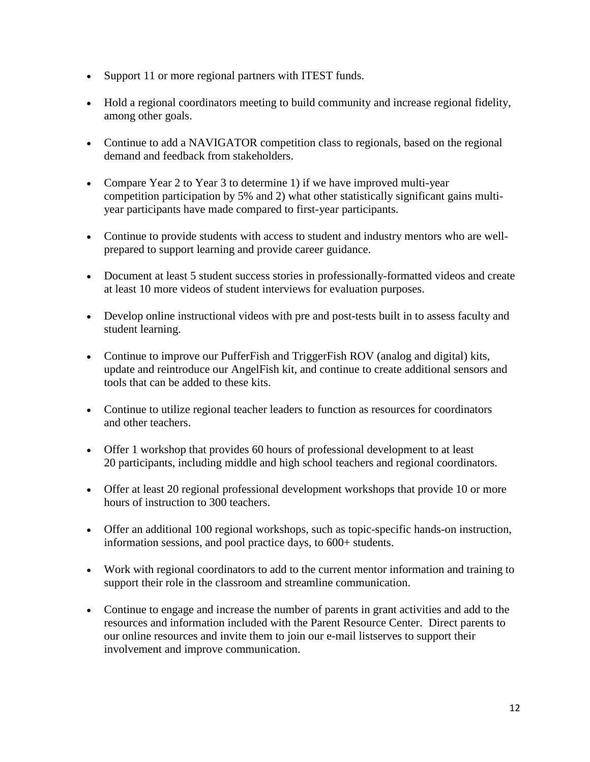- Support 11 or more regional partners with ITEST funds.
- Hold a regional coordinators meeting to build community and increase regional fidelity, among other goals.
- Continue to add a NAVIGATOR competition class to regionals, based on the regional demand and feedback from stakeholders.
- Compare Year 2 to Year 3 to determine 1) if we have improved multi-year competition participation by 5% and 2) what other statistically significant gains multiyear participants have made compared to first-year participants.
- Continue to provide students with access to student and industry mentors who are wellprepared to support learning and provide career guidance.
- Document at least 5 student success stories in professionally-formatted videos and create at least 10 more videos of student interviews for evaluation purposes.
- Develop online instructional videos with pre and post-tests built in to assess faculty and student learning.
- Continue to improve our PufferFish and TriggerFish ROV (analog and digital) kits, update and reintroduce our AngelFish kit, and continue to create additional sensors and tools that can be added to these kits.
- Continue to utilize regional teacher leaders to function as resources for coordinators and other teachers.
- Offer 1 workshop that provides 60 hours of professional development to at least 20 participants, including middle and high school teachers and regional coordinators.
- Offer at least 20 regional professional development workshops that provide 10 or more hours of instruction to 300 teachers.
- Offer an additional 100 regional workshops, such as topic-specific hands-on instruction, information sessions, and pool practice days, to 600+ students.
- Work with regional coordinators to add to the current mentor information and training to support their role in the classroom and streamline communication.
- Continue to engage and increase the number of parents in grant activities and add to the resources and information included with the Parent Resource Center. Direct parents to our online resources and invite them to join our e-mail listserves to support their involvement and improve communication.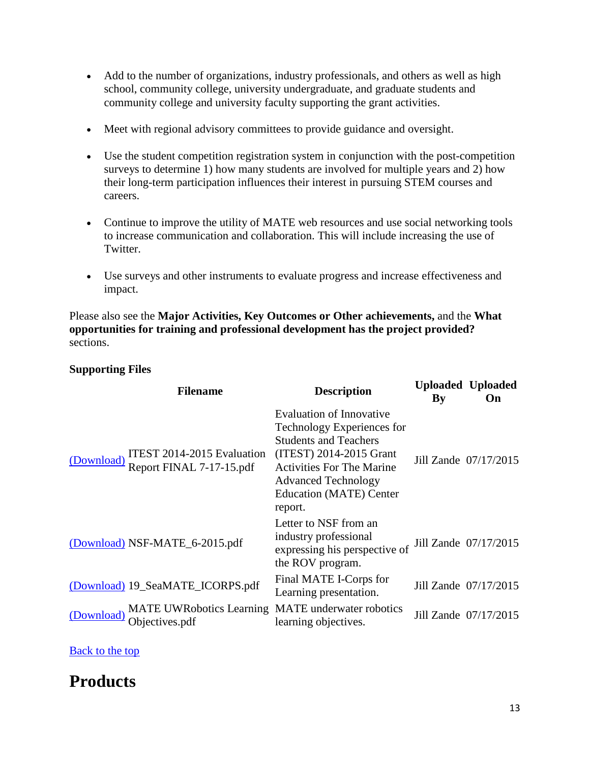- Add to the number of organizations, industry professionals, and others as well as high school, community college, university undergraduate, and graduate students and community college and university faculty supporting the grant activities.
- Meet with regional advisory committees to provide guidance and oversight.
- Use the student competition registration system in conjunction with the post-competition surveys to determine 1) how many students are involved for multiple years and 2) how their long-term participation influences their interest in pursuing STEM courses and careers.
- Continue to improve the utility of MATE web resources and use social networking tools to increase communication and collaboration. This will include increasing the use of Twitter.
- Use surveys and other instruments to evaluate progress and increase effectiveness and impact.

Please also see the **Major Activities, Key Outcomes or Other achievements,** and the **What opportunities for training and professional development has the project provided?**  sections.

#### **Supporting Files**

| <b>Filename</b>                                                      | <b>Description</b>                                                                                                                                                                                                               | By | <b>Uploaded Uploaded</b><br>On |
|----------------------------------------------------------------------|----------------------------------------------------------------------------------------------------------------------------------------------------------------------------------------------------------------------------------|----|--------------------------------|
| ITEST 2014-2015 Evaluation<br>(Download)<br>Report FINAL 7-17-15.pdf | Evaluation of Innovative<br>Technology Experiences for<br><b>Students and Teachers</b><br>(ITEST) 2014-2015 Grant<br><b>Activities For The Marine</b><br><b>Advanced Technology</b><br><b>Education (MATE) Center</b><br>report. |    | Jill Zande 07/17/2015          |
| (Download) NSF-MATE_6-2015.pdf                                       | Letter to NSF from an<br>industry professional<br>expressing his perspective of<br>the ROV program.                                                                                                                              |    | Jill Zande 07/17/2015          |
| (Download) 19_SeaMATE_ICORPS.pdf                                     | Final MATE I-Corps for<br>Learning presentation.                                                                                                                                                                                 |    | Jill Zande 07/17/2015          |
| <b>MATE UWRobotics Learning</b><br>(Download)<br>Objectives.pdf      | <b>MATE</b> underwater robotics<br>learning objectives.                                                                                                                                                                          |    | Jill Zande 07/17/2015          |

[Back to the top](https://reporting.research.gov/rppr-web/rppr?execution=e1s32#top)

## **Products**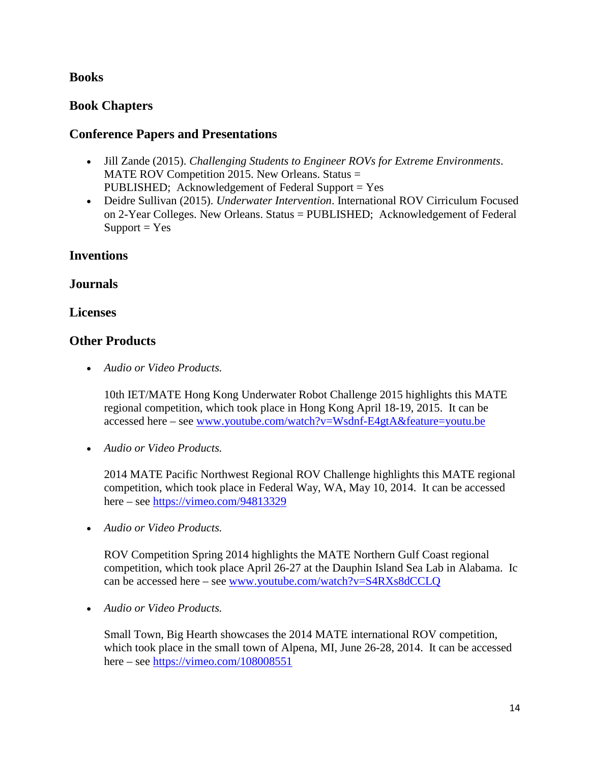#### **Books**

#### **Book Chapters**

#### **Conference Papers and Presentations**

- Jill Zande (2015). *Challenging Students to Engineer ROVs for Extreme Environments*. MATE ROV Competition 2015. New Orleans. Status = PUBLISHED; Acknowledgement of Federal Support = Yes
- Deidre Sullivan (2015). *Underwater Intervention*. International ROV Cirriculum Focused on 2-Year Colleges. New Orleans. Status = PUBLISHED; Acknowledgement of Federal  $Support = Yes$

#### **Inventions**

#### **Journals**

#### **Licenses**

#### **Other Products**

• *Audio or Video Products.* 

10th IET/MATE Hong Kong Underwater Robot Challenge 2015 highlights this MATE regional competition, which took place in Hong Kong April 18-19, 2015. It can be accessed here – see [www.youtube.com/watch?v=Wsdnf-E4gtA&feature=youtu.be](http://www.youtube.com/watch?v=Wsdnf-E4gtA&feature=youtu.be)

• *Audio or Video Products.* 

2014 MATE Pacific Northwest Regional ROV Challenge highlights this MATE regional competition, which took place in Federal Way, WA, May 10, 2014. It can be accessed here – see<https://vimeo.com/94813329>

• *Audio or Video Products.* 

ROV Competition Spring 2014 highlights the MATE Northern Gulf Coast regional competition, which took place April 26-27 at the Dauphin Island Sea Lab in Alabama. Ic can be accessed here – see [www.youtube.com/watch?v=S4RXs8dCCLQ](https://www.youtube.com/watch?v=S4RXs8dCCLQ)

• *Audio or Video Products.* 

Small Town, Big Hearth showcases the 2014 MATE international ROV competition, which took place in the small town of Alpena, MI, June 26-28, 2014. It can be accessed here – see<https://vimeo.com/108008551>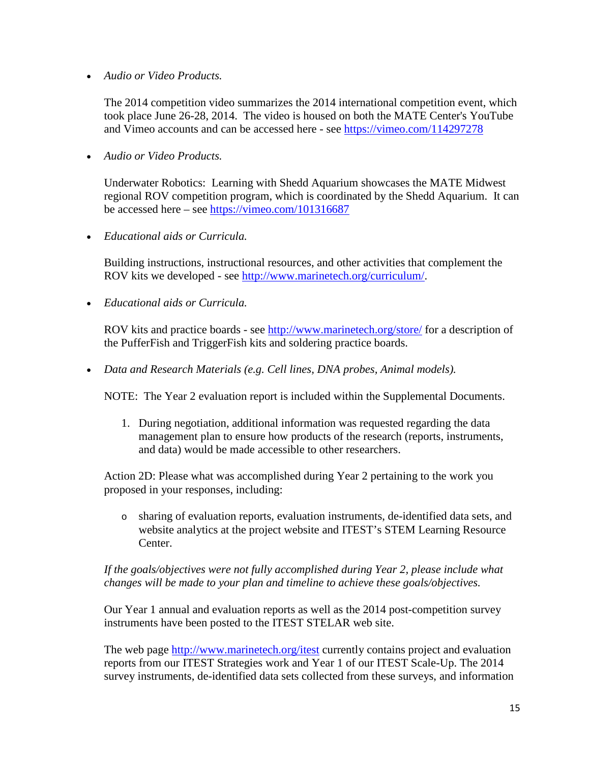• *Audio or Video Products.* 

The 2014 competition video summarizes the 2014 international competition event, which took place June 26-28, 2014. The video is housed on both the MATE Center's YouTube and Vimeo accounts and can be accessed here - see <https://vimeo.com/114297278>

• *Audio or Video Products.* 

Underwater Robotics: Learning with Shedd Aquarium showcases the MATE Midwest regional ROV competition program, which is coordinated by the Shedd Aquarium. It can be accessed here – see<https://vimeo.com/101316687>

• *Educational aids or Curricula.* 

Building instructions, instructional resources, and other activities that complement the ROV kits we developed - see [http://www.marinetech.org/curriculum/.](http://www.marinetech.org/curriculum/)

• *Educational aids or Curricula.* 

ROV kits and practice boards - see<http://www.marinetech.org/store/> for a description of the PufferFish and TriggerFish kits and soldering practice boards.

• *Data and Research Materials (e.g. Cell lines, DNA probes, Animal models).* 

NOTE: The Year 2 evaluation report is included within the Supplemental Documents.

1. During negotiation, additional information was requested regarding the data management plan to ensure how products of the research (reports, instruments, and data) would be made accessible to other researchers.

Action 2D: Please what was accomplished during Year 2 pertaining to the work you proposed in your responses, including:

o sharing of evaluation reports, evaluation instruments, de-identified data sets, and website analytics at the project website and ITEST's STEM Learning Resource Center.

*If the goals/objectives were not fully accomplished during Year 2, please include what changes will be made to your plan and timeline to achieve these goals/objectives.*

Our Year 1 annual and evaluation reports as well as the 2014 post-competition survey instruments have been posted to the ITEST STELAR web site.

The web page<http://www.marinetech.org/itest> currently contains project and evaluation reports from our ITEST Strategies work and Year 1 of our ITEST Scale-Up. The 2014 survey instruments, de-identified data sets collected from these surveys, and information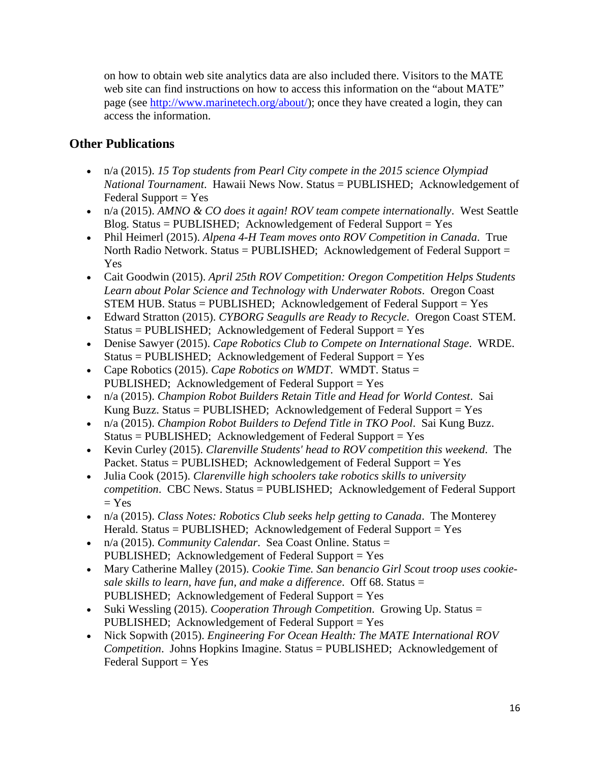on how to obtain web site analytics data are also included there. Visitors to the MATE web site can find instructions on how to access this information on the "about MATE" page (see [http://www.marinetech.org/about/\)](http://www.marinetech.org/about/); once they have created a login, they can access the information.

#### **Other Publications**

- n/a (2015). *15 Top students from Pearl City compete in the 2015 science Olympiad National Tournament*. Hawaii News Now. Status = PUBLISHED; Acknowledgement of  $Federal Support = Yes$
- n/a (2015). *AMNO & CO does it again! ROV team compete internationally*. West Seattle Blog. Status = PUBLISHED; Acknowledgement of Federal Support =  $Yes$
- Phil Heimerl (2015). *Alpena 4-H Team moves onto ROV Competition in Canada*. True North Radio Network. Status = PUBLISHED; Acknowledgement of Federal Support = Yes
- Cait Goodwin (2015). *April 25th ROV Competition: Oregon Competition Helps Students Learn about Polar Science and Technology with Underwater Robots*. Oregon Coast STEM HUB. Status = PUBLISHED; Acknowledgement of Federal Support =  $Yes$
- Edward Stratton (2015). *CYBORG Seagulls are Ready to Recycle*. Oregon Coast STEM.  $Status = PUBLISHED; Acknowledgement of Federal Support = Yes$
- Denise Sawyer (2015). *Cape Robotics Club to Compete on International Stage*. WRDE.  $Status = PUBLISHED; Acknowledgement of Federal Support = Yes$
- Cape Robotics (2015). *Cape Robotics on WMDT*. WMDT. Status = PUBLISHED; Acknowledgement of Federal Support = Yes
- n/a (2015). *Champion Robot Builders Retain Title and Head for World Contest*. Sai Kung Buzz. Status = PUBLISHED; Acknowledgement of Federal Support =  $Yes$
- n/a (2015). *Champion Robot Builders to Defend Title in TKO Pool*. Sai Kung Buzz.  $Status = PUBLISHED; Acknowledgement of Federal Support = Yes$
- Kevin Curley (2015). *Clarenville Students' head to ROV competition this weekend*. The Packet. Status = PUBLISHED; Acknowledgement of Federal Support = Yes
- Julia Cook (2015). *Clarenville high schoolers take robotics skills to university competition*. CBC News. Status = PUBLISHED; Acknowledgement of Federal Support  $= Yes$
- n/a (2015). *Class Notes: Robotics Club seeks help getting to Canada*. The Monterey Herald. Status = PUBLISHED; Acknowledgement of Federal Support = Yes
- n/a (2015). *Community Calendar*. Sea Coast Online. Status = PUBLISHED; Acknowledgement of Federal Support = Yes
- Mary Catherine Malley (2015). *Cookie Time. San benancio Girl Scout troop uses cookiesale skills to learn, have fun, and make a difference*. Off 68. Status = PUBLISHED; Acknowledgement of Federal Support = Yes
- Suki Wessling (2015). *Cooperation Through Competition*. Growing Up. Status = PUBLISHED; Acknowledgement of Federal Support = Yes
- Nick Sopwith (2015). *Engineering For Ocean Health: The MATE International ROV Competition*. Johns Hopkins Imagine. Status = PUBLISHED; Acknowledgement of  $Federal Support = Yes$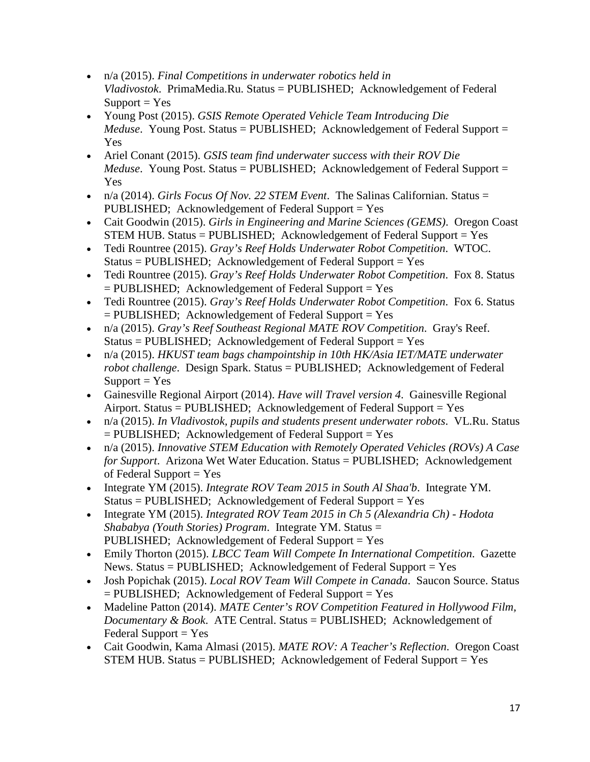- n/a (2015). *Final Competitions in underwater robotics held in Vladivostok*. PrimaMedia.Ru. Status = PUBLISHED; Acknowledgement of Federal  $Support = Yes$
- Young Post (2015). *GSIS Remote Operated Vehicle Team Introducing Die Meduse*. Young Post. Status = PUBLISHED; Acknowledgement of Federal Support = Yes
- Ariel Conant (2015). *GSIS team find underwater success with their ROV Die Meduse*. Young Post. Status = PUBLISHED; Acknowledgement of Federal Support = Yes
- n/a (2014). *Girls Focus Of Nov. 22 STEM Event*. The Salinas Californian. Status = PUBLISHED; Acknowledgement of Federal Support = Yes
- Cait Goodwin (2015). *Girls in Engineering and Marine Sciences (GEMS)*. Oregon Coast STEM HUB. Status = PUBLISHED; Acknowledgement of Federal Support =  $Yes$
- Tedi Rountree (2015). *Gray's Reef Holds Underwater Robot Competition*. WTOC.  $Status = PUBLISHED; Acknowledgement of Federal Support = Yes$
- Tedi Rountree (2015). *Gray's Reef Holds Underwater Robot Competition*. Fox 8. Status  $=$  PUBLISHED; Acknowledgement of Federal Support  $=$  Yes
- Tedi Rountree (2015). *Gray's Reef Holds Underwater Robot Competition*. Fox 6. Status  $=$  PUBLISHED; Acknowledgement of Federal Support  $=$  Yes
- n/a (2015). *Gray's Reef Southeast Regional MATE ROV Competition*. Gray's Reef.  $Status = PUBLISHED; Acknowledgement of Federal Support = Yes$
- n/a (2015). *HKUST team bags champointship in 10th HK/Asia IET/MATE underwater robot challenge*. Design Spark. Status = PUBLISHED; Acknowledgement of Federal  $Support = Yes$
- Gainesville Regional Airport (2014). *Have will Travel version 4*. Gainesville Regional Airport. Status = PUBLISHED; Acknowledgement of Federal Support = Yes
- n/a (2015). *In Vladivostok, pupils and students present underwater robots*. VL.Ru. Status  $=$  PUBLISHED; Acknowledgement of Federal Support  $=$  Yes
- n/a (2015). *Innovative STEM Education with Remotely Operated Vehicles (ROVs) A Case for Support*. Arizona Wet Water Education. Status = PUBLISHED; Acknowledgement of Federal Support  $=$  Yes
- Integrate YM (2015). *Integrate ROV Team 2015 in South Al Shaa'b*. Integrate YM. Status = PUBLISHED; Acknowledgement of Federal Support = Yes
- Integrate YM (2015). *Integrated ROV Team 2015 in Ch 5 (Alexandria Ch) - Hodota Shababya (Youth Stories) Program*. Integrate YM. Status = PUBLISHED; Acknowledgement of Federal Support = Yes
- Emily Thorton (2015). *LBCC Team Will Compete In International Competition*. Gazette News. Status =  $PUBLISHED$ ; Acknowledgement of Federal Support = Yes
- Josh Popichak (2015). *Local ROV Team Will Compete in Canada*. Saucon Source. Status  $=$  PUBLISHED; Acknowledgement of Federal Support  $=$  Yes
- Madeline Patton (2014). *MATE Center's ROV Competition Featured in Hollywood Film, Documentary & Book*. ATE Central. Status = PUBLISHED; Acknowledgement of  $Federal Support = Yes$
- Cait Goodwin, Kama Almasi (2015). *MATE ROV: A Teacher's Reflection*. Oregon Coast STEM HUB. Status = PUBLISHED; Acknowledgement of Federal Support =  $Yes$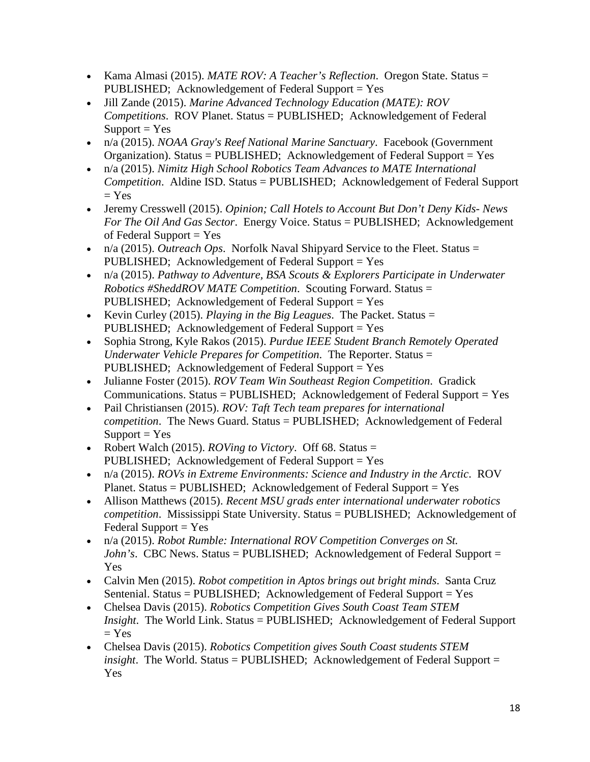- Kama Almasi (2015). *MATE ROV: A Teacher's Reflection*. Oregon State. Status = PUBLISHED; Acknowledgement of Federal Support = Yes
- Jill Zande (2015). *Marine Advanced Technology Education (MATE): ROV Competitions*. ROV Planet. Status = PUBLISHED; Acknowledgement of Federal  $Support = Yes$
- n/a (2015). *NOAA Gray's Reef National Marine Sanctuary*. Facebook (Government Organization). Status = PUBLISHED; Acknowledgement of Federal Support = Yes
- n/a (2015). *Nimitz High School Robotics Team Advances to MATE International Competition*. Aldine ISD. Status = PUBLISHED; Acknowledgement of Federal Support  $=$  Yes
- Jeremy Cresswell (2015). *Opinion; Call Hotels to Account But Don't Deny Kids- News For The Oil And Gas Sector*. Energy Voice. Status = PUBLISHED; Acknowledgement of Federal Support  $=$  Yes
- n/a (2015). *Outreach Ops*. Norfolk Naval Shipyard Service to the Fleet. Status = PUBLISHED; Acknowledgement of Federal Support = Yes
- n/a (2015). *Pathway to Adventure, BSA Scouts & Explorers Participate in Underwater Robotics #SheddROV MATE Competition*. Scouting Forward. Status = PUBLISHED; Acknowledgement of Federal Support = Yes
- Kevin Curley (2015). *Playing in the Big Leagues*. The Packet. Status = PUBLISHED; Acknowledgement of Federal Support = Yes
- Sophia Strong, Kyle Rakos (2015). *Purdue IEEE Student Branch Remotely Operated Underwater Vehicle Prepares for Competition*. The Reporter. Status = PUBLISHED; Acknowledgement of Federal Support = Yes
- Julianne Foster (2015). *ROV Team Win Southeast Region Competition*. Gradick Communications. Status = PUBLISHED; Acknowledgement of Federal Support = Yes
- Pail Christiansen (2015). *ROV: Taft Tech team prepares for international competition*. The News Guard. Status = PUBLISHED; Acknowledgement of Federal  $Support = Yes$
- Robert Walch (2015). *ROVing to Victory*. Off 68. Status = PUBLISHED; Acknowledgement of Federal Support = Yes
- n/a (2015). *ROVs in Extreme Environments: Science and Industry in the Arctic*. ROV Planet. Status = PUBLISHED; Acknowledgement of Federal Support = Yes
- Allison Matthews (2015). *Recent MSU grads enter international underwater robotics competition*. Mississippi State University. Status = PUBLISHED; Acknowledgement of  $Federal Support = Yes$
- n/a (2015). *Robot Rumble: International ROV Competition Converges on St. John's*. CBC News. Status = PUBLISHED; Acknowledgement of Federal Support = Yes
- Calvin Men (2015). *Robot competition in Aptos brings out bright minds*. Santa Cruz Sentenial. Status =  $PUBLISHED$ ; Acknowledgement of Federal Support = Yes
- Chelsea Davis (2015). *Robotics Competition Gives South Coast Team STEM Insight*. The World Link. Status = PUBLISHED; Acknowledgement of Federal Support  $=$  Yes
- Chelsea Davis (2015). *Robotics Competition gives South Coast students STEM insight*. The World. Status = PUBLISHED; Acknowledgement of Federal Support = Yes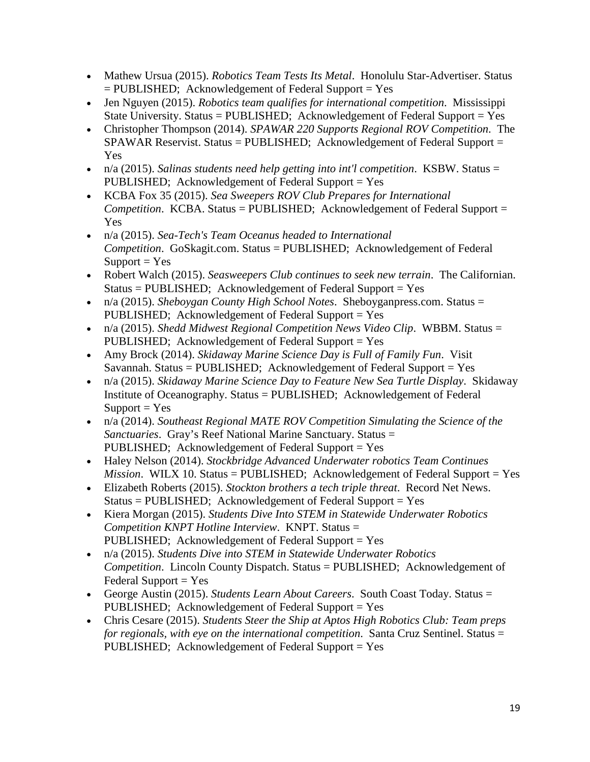- Mathew Ursua (2015). *Robotics Team Tests Its Metal.* Honolulu Star-Advertiser. Status  $=$  PUBLISHED; Acknowledgement of Federal Support  $=$  Yes
- Jen Nguyen (2015). *Robotics team qualifies for international competition*. Mississippi State University. Status = PUBLISHED; Acknowledgement of Federal Support = Yes
- Christopher Thompson (2014). *SPAWAR 220 Supports Regional ROV Competition*. The  $SPAWAR$  Reservist. Status = PUBLISHED; Acknowledgement of Federal Support = Yes
- n/a (2015). *Salinas students need help getting into int'l competition*. KSBW. Status = PUBLISHED; Acknowledgement of Federal Support = Yes
- KCBA Fox 35 (2015). *Sea Sweepers ROV Club Prepares for International Competition*. KCBA. Status = PUBLISHED; Acknowledgement of Federal Support = Yes
- n/a (2015). *Sea-Tech's Team Oceanus headed to International Competition*. GoSkagit.com. Status = PUBLISHED; Acknowledgement of Federal  $Support = Yes$
- Robert Walch (2015). *Seasweepers Club continues to seek new terrain*. The Californian.  $Status = PUBLISHED; Acknowledgement of Federal Support = Yes$
- n/a (2015). *Sheboygan County High School Notes*. Sheboyganpress.com. Status = PUBLISHED; Acknowledgement of Federal Support = Yes
- n/a (2015). *Shedd Midwest Regional Competition News Video Clip*. WBBM. Status = PUBLISHED; Acknowledgement of Federal Support = Yes
- Amy Brock (2014). *Skidaway Marine Science Day is Full of Family Fun*. Visit Savannah. Status = PUBLISHED; Acknowledgement of Federal Support = Yes
- n/a (2015). *Skidaway Marine Science Day to Feature New Sea Turtle Display*. Skidaway Institute of Oceanography. Status = PUBLISHED; Acknowledgement of Federal  $Support = Yes$
- n/a (2014). *Southeast Regional MATE ROV Competition Simulating the Science of the Sanctuaries*. Gray's Reef National Marine Sanctuary. Status = PUBLISHED; Acknowledgement of Federal Support = Yes
- Haley Nelson (2014). *Stockbridge Advanced Underwater robotics Team Continues Mission.* WILX 10. Status = PUBLISHED; Acknowledgement of Federal Support = Yes
- Elizabeth Roberts (2015). *Stockton brothers a tech triple threat*. Record Net News. Status = PUBLISHED; Acknowledgement of Federal Support = Yes
- Kiera Morgan (2015). *Students Dive Into STEM in Statewide Underwater Robotics Competition KNPT Hotline Interview*. KNPT. Status = PUBLISHED; Acknowledgement of Federal Support = Yes
- n/a (2015). *Students Dive into STEM in Statewide Underwater Robotics Competition*. Lincoln County Dispatch. Status = PUBLISHED; Acknowledgement of  $Federal Support = Yes$
- George Austin (2015). *Students Learn About Careers*. South Coast Today. Status = PUBLISHED; Acknowledgement of Federal Support = Yes
- Chris Cesare (2015). *Students Steer the Ship at Aptos High Robotics Club: Team preps for regionals, with eye on the international competition.* Santa Cruz Sentinel. Status = PUBLISHED; Acknowledgement of Federal Support = Yes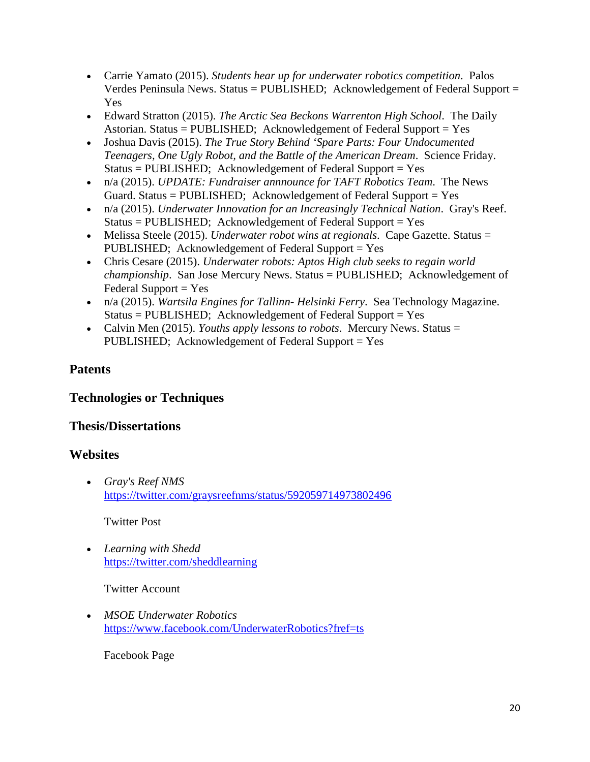- Carrie Yamato (2015). *Students hear up for underwater robotics competition*. Palos Verdes Peninsula News. Status = PUBLISHED; Acknowledgement of Federal Support = Yes
- Edward Stratton (2015). *The Arctic Sea Beckons Warrenton High School*. The Daily Astorian. Status = PUBLISHED; Acknowledgement of Federal Support = Yes
- Joshua Davis (2015). *The True Story Behind 'Spare Parts: Four Undocumented Teenagers, One Ugly Robot, and the Battle of the American Dream*. Science Friday. Status = PUBLISHED; Acknowledgement of Federal Support = Yes
- n/a (2015). *UPDATE: Fundraiser annnounce for TAFT Robotics Team*. The News Guard. Status = PUBLISHED; Acknowledgement of Federal Support = Yes
- n/a (2015). *Underwater Innovation for an Increasingly Technical Nation*. Gray's Reef. Status = PUBLISHED; Acknowledgement of Federal Support = Yes
- Melissa Steele (2015). *Underwater robot wins at regionals*. Cape Gazette. Status = PUBLISHED; Acknowledgement of Federal Support = Yes
- Chris Cesare (2015). *Underwater robots: Aptos High club seeks to regain world championship*. San Jose Mercury News. Status = PUBLISHED; Acknowledgement of  $Federal Support = Yes$
- n/a (2015). *Wartsila Engines for Tallinn- Helsinki Ferry*. Sea Technology Magazine.  $Status = PUBLISHED; Acknowledgement of Federal Support = Yes$
- Calvin Men (2015). *Youths apply lessons to robots*. Mercury News. Status = PUBLISHED; Acknowledgement of Federal Support = Yes

#### **Patents**

#### **Technologies or Techniques**

#### **Thesis/Dissertations**

#### **Websites**

• *Gray's Reef NMS* <https://twitter.com/graysreefnms/status/592059714973802496>

#### Twitter Post

• *Learning with Shedd* <https://twitter.com/sheddlearning>

Twitter Account

• *MSOE Underwater Robotics* <https://www.facebook.com/UnderwaterRobotics?fref=ts>

Facebook Page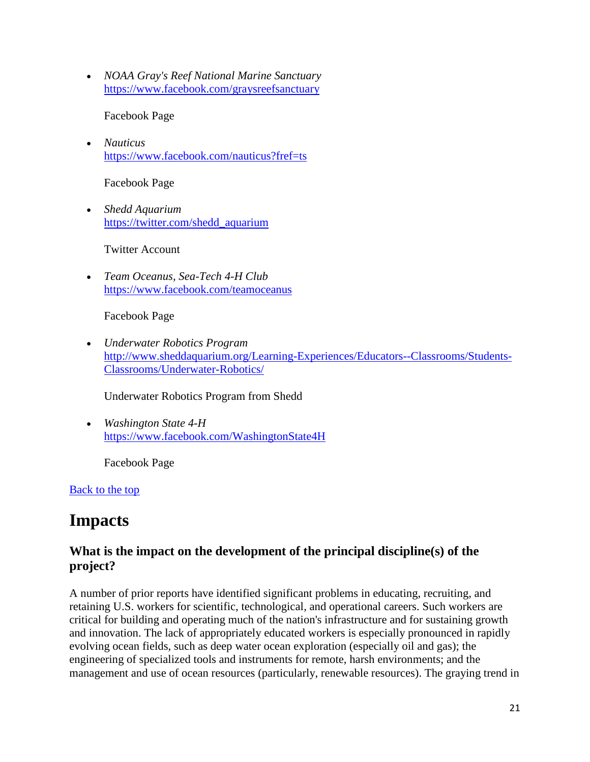• *NOAA Gray's Reef National Marine Sanctuary* <https://www.facebook.com/graysreefsanctuary>

Facebook Page

• *Nauticus* <https://www.facebook.com/nauticus?fref=ts>

Facebook Page

• *Shedd Aquarium* [https://twitter.com/shedd\\_aquarium](https://twitter.com/shedd_aquarium)

Twitter Account

• *Team Oceanus, Sea-Tech 4-H Club* <https://www.facebook.com/teamoceanus>

Facebook Page

• *Underwater Robotics Program* [http://www.sheddaquarium.org/Learning-Experiences/Educators--Classrooms/Students-](http://www.sheddaquarium.org/Learning-Experiences/Educators--Classrooms/Students-Classrooms/Underwater-Robotics/)[Classrooms/Underwater-Robotics/](http://www.sheddaquarium.org/Learning-Experiences/Educators--Classrooms/Students-Classrooms/Underwater-Robotics/)

Underwater Robotics Program from Shedd

• *Washington State 4-H* <https://www.facebook.com/WashingtonState4H>

Facebook Page

[Back to the top](https://reporting.research.gov/rppr-web/rppr?execution=e1s32#top)

# **Impacts**

#### **What is the impact on the development of the principal discipline(s) of the project?**

A number of prior reports have identified significant problems in educating, recruiting, and retaining U.S. workers for scientific, technological, and operational careers. Such workers are critical for building and operating much of the nation's infrastructure and for sustaining growth and innovation. The lack of appropriately educated workers is especially pronounced in rapidly evolving ocean fields, such as deep water ocean exploration (especially oil and gas); the engineering of specialized tools and instruments for remote, harsh environments; and the management and use of ocean resources (particularly, renewable resources). The graying trend in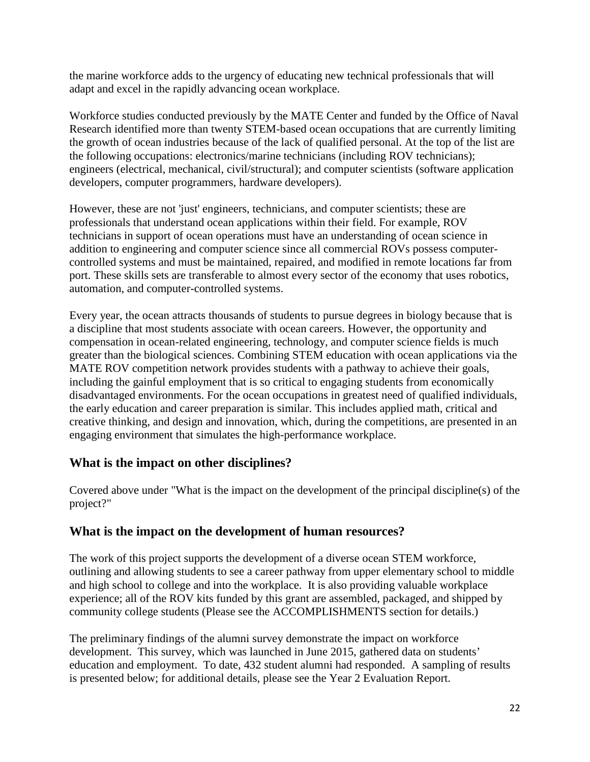the marine workforce adds to the urgency of educating new technical professionals that will adapt and excel in the rapidly advancing ocean workplace.

Workforce studies conducted previously by the MATE Center and funded by the Office of Naval Research identified more than twenty STEM-based ocean occupations that are currently limiting the growth of ocean industries because of the lack of qualified personal. At the top of the list are the following occupations: electronics/marine technicians (including ROV technicians); engineers (electrical, mechanical, civil/structural); and computer scientists (software application developers, computer programmers, hardware developers).

However, these are not 'just' engineers, technicians, and computer scientists; these are professionals that understand ocean applications within their field. For example, ROV technicians in support of ocean operations must have an understanding of ocean science in addition to engineering and computer science since all commercial ROVs possess computercontrolled systems and must be maintained, repaired, and modified in remote locations far from port. These skills sets are transferable to almost every sector of the economy that uses robotics, automation, and computer-controlled systems.

Every year, the ocean attracts thousands of students to pursue degrees in biology because that is a discipline that most students associate with ocean careers. However, the opportunity and compensation in ocean-related engineering, technology, and computer science fields is much greater than the biological sciences. Combining STEM education with ocean applications via the MATE ROV competition network provides students with a pathway to achieve their goals, including the gainful employment that is so critical to engaging students from economically disadvantaged environments. For the ocean occupations in greatest need of qualified individuals, the early education and career preparation is similar. This includes applied math, critical and creative thinking, and design and innovation, which, during the competitions, are presented in an engaging environment that simulates the high-performance workplace.

#### **What is the impact on other disciplines?**

Covered above under "What is the impact on the development of the principal discipline(s) of the project?"

### **What is the impact on the development of human resources?**

The work of this project supports the development of a diverse ocean STEM workforce, outlining and allowing students to see a career pathway from upper elementary school to middle and high school to college and into the workplace. It is also providing valuable workplace experience; all of the ROV kits funded by this grant are assembled, packaged, and shipped by community college students (Please see the ACCOMPLISHMENTS section for details.)

The preliminary findings of the alumni survey demonstrate the impact on workforce development. This survey, which was launched in June 2015, gathered data on students' education and employment. To date, 432 student alumni had responded. A sampling of results is presented below; for additional details, please see the Year 2 Evaluation Report.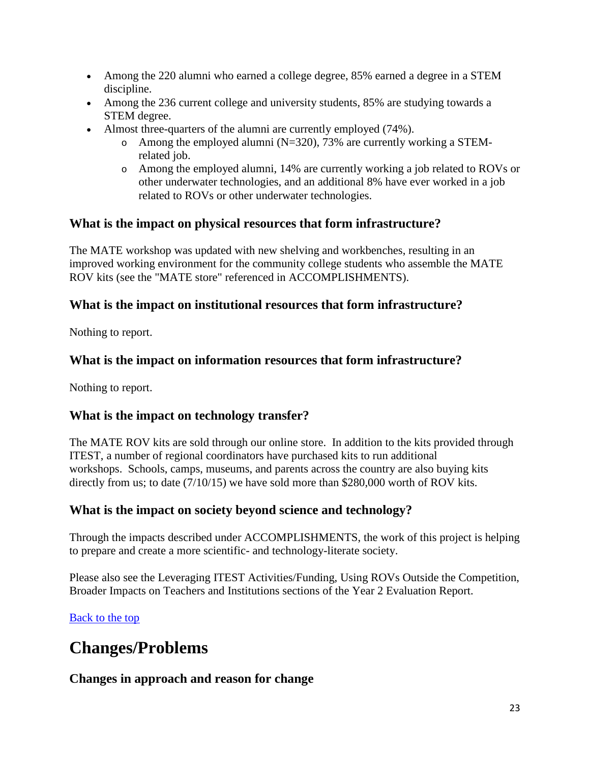- Among the 220 alumni who earned a college degree, 85% earned a degree in a STEM discipline.
- Among the 236 current college and university students, 85% are studying towards a STEM degree.
- Almost three-quarters of the alumni are currently employed (74%).
	- $\circ$  Among the employed alumni (N=320), 73% are currently working a STEMrelated job.
	- o Among the employed alumni, 14% are currently working a job related to ROVs or other underwater technologies, and an additional 8% have ever worked in a job related to ROVs or other underwater technologies.

#### **What is the impact on physical resources that form infrastructure?**

The MATE workshop was updated with new shelving and workbenches, resulting in an improved working environment for the community college students who assemble the MATE ROV kits (see the "MATE store" referenced in ACCOMPLISHMENTS).

#### **What is the impact on institutional resources that form infrastructure?**

Nothing to report.

#### **What is the impact on information resources that form infrastructure?**

Nothing to report.

#### **What is the impact on technology transfer?**

The MATE ROV kits are sold through our online store. In addition to the kits provided through ITEST, a number of regional coordinators have purchased kits to run additional workshops. Schools, camps, museums, and parents across the country are also buying kits directly from us; to date (7/10/15) we have sold more than \$280,000 worth of ROV kits.

#### **What is the impact on society beyond science and technology?**

Through the impacts described under ACCOMPLISHMENTS, the work of this project is helping to prepare and create a more scientific- and technology-literate society.

Please also see the Leveraging ITEST Activities/Funding, Using ROVs Outside the Competition, Broader Impacts on Teachers and Institutions sections of the Year 2 Evaluation Report.

#### [Back to the top](https://reporting.research.gov/rppr-web/rppr?execution=e1s32#top)

# **Changes/Problems**

#### **Changes in approach and reason for change**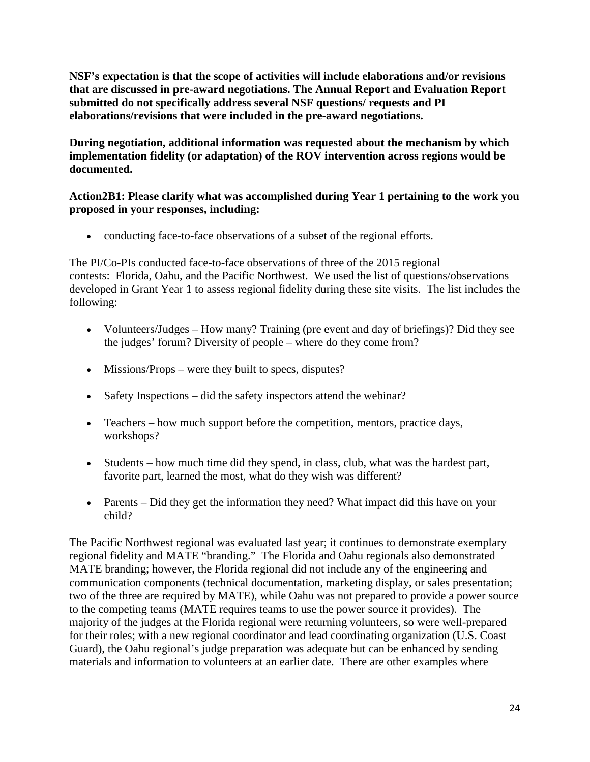**NSF's expectation is that the scope of activities will include elaborations and/or revisions that are discussed in pre-award negotiations. The Annual Report and Evaluation Report submitted do not specifically address several NSF questions/ requests and PI elaborations/revisions that were included in the pre-award negotiations.**

**During negotiation, additional information was requested about the mechanism by which implementation fidelity (or adaptation) of the ROV intervention across regions would be documented.**

#### **Action2B1: Please clarify what was accomplished during Year 1 pertaining to the work you proposed in your responses, including:**

• conducting face-to-face observations of a subset of the regional efforts.

The PI/Co-PIs conducted face-to-face observations of three of the 2015 regional contests: Florida, Oahu, and the Pacific Northwest. We used the list of questions/observations developed in Grant Year 1 to assess regional fidelity during these site visits. The list includes the following:

- Volunteers/Judges How many? Training (pre event and day of briefings)? Did they see the judges' forum? Diversity of people – where do they come from?
- Missions/Props were they built to specs, disputes?
- Safety Inspections did the safety inspectors attend the webinar?
- Teachers how much support before the competition, mentors, practice days, workshops?
- Students how much time did they spend, in class, club, what was the hardest part, favorite part, learned the most, what do they wish was different?
- Parents Did they get the information they need? What impact did this have on your child?

The Pacific Northwest regional was evaluated last year; it continues to demonstrate exemplary regional fidelity and MATE "branding." The Florida and Oahu regionals also demonstrated MATE branding; however, the Florida regional did not include any of the engineering and communication components (technical documentation, marketing display, or sales presentation; two of the three are required by MATE), while Oahu was not prepared to provide a power source to the competing teams (MATE requires teams to use the power source it provides). The majority of the judges at the Florida regional were returning volunteers, so were well-prepared for their roles; with a new regional coordinator and lead coordinating organization (U.S. Coast Guard), the Oahu regional's judge preparation was adequate but can be enhanced by sending materials and information to volunteers at an earlier date. There are other examples where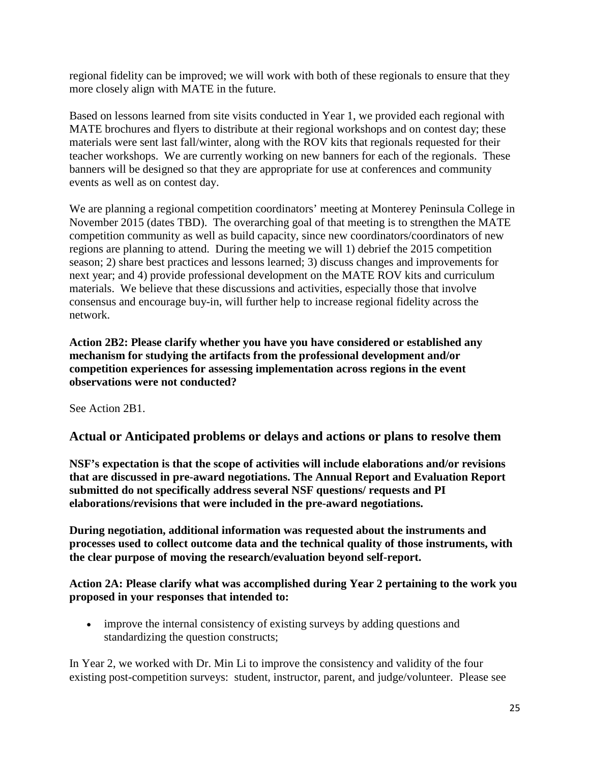regional fidelity can be improved; we will work with both of these regionals to ensure that they more closely align with MATE in the future.

Based on lessons learned from site visits conducted in Year 1, we provided each regional with MATE brochures and flyers to distribute at their regional workshops and on contest day; these materials were sent last fall/winter, along with the ROV kits that regionals requested for their teacher workshops. We are currently working on new banners for each of the regionals. These banners will be designed so that they are appropriate for use at conferences and community events as well as on contest day.

We are planning a regional competition coordinators' meeting at Monterey Peninsula College in November 2015 (dates TBD). The overarching goal of that meeting is to strengthen the MATE competition community as well as build capacity, since new coordinators/coordinators of new regions are planning to attend. During the meeting we will 1) debrief the 2015 competition season; 2) share best practices and lessons learned; 3) discuss changes and improvements for next year; and 4) provide professional development on the MATE ROV kits and curriculum materials. We believe that these discussions and activities, especially those that involve consensus and encourage buy-in, will further help to increase regional fidelity across the network.

**Action 2B2: Please clarify whether you have you have considered or established any mechanism for studying the artifacts from the professional development and/or competition experiences for assessing implementation across regions in the event observations were not conducted?**

See Action 2B1.

#### **Actual or Anticipated problems or delays and actions or plans to resolve them**

**NSF's expectation is that the scope of activities will include elaborations and/or revisions that are discussed in pre-award negotiations. The Annual Report and Evaluation Report submitted do not specifically address several NSF questions/ requests and PI elaborations/revisions that were included in the pre-award negotiations.**

**During negotiation, additional information was requested about the instruments and processes used to collect outcome data and the technical quality of those instruments, with the clear purpose of moving the research/evaluation beyond self-report.**

**Action 2A: Please clarify what was accomplished during Year 2 pertaining to the work you proposed in your responses that intended to:**

• improve the internal consistency of existing surveys by adding questions and standardizing the question constructs;

In Year 2, we worked with Dr. Min Li to improve the consistency and validity of the four existing post-competition surveys: student, instructor, parent, and judge/volunteer. Please see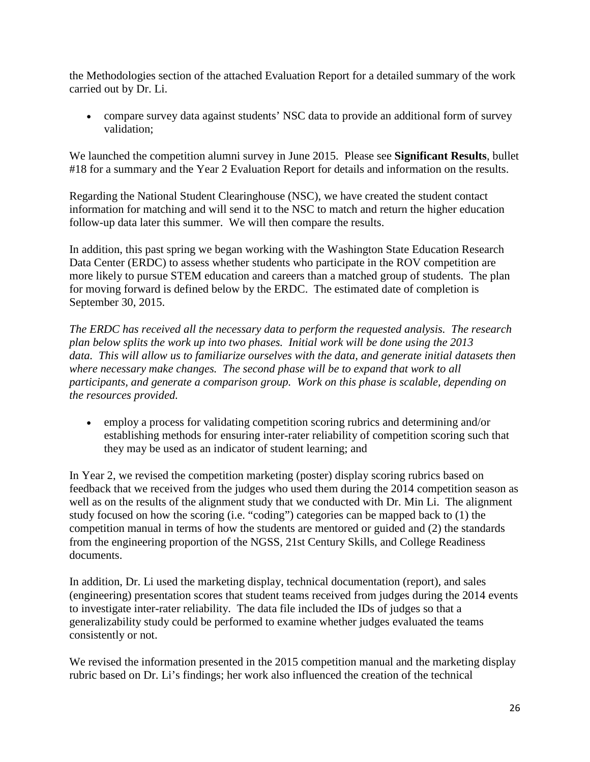the Methodologies section of the attached Evaluation Report for a detailed summary of the work carried out by Dr. Li.

• compare survey data against students' NSC data to provide an additional form of survey validation;

We launched the competition alumni survey in June 2015. Please see **Significant Results**, bullet #18 for a summary and the Year 2 Evaluation Report for details and information on the results.

Regarding the National Student Clearinghouse (NSC), we have created the student contact information for matching and will send it to the NSC to match and return the higher education follow-up data later this summer. We will then compare the results.

In addition, this past spring we began working with the Washington State Education Research Data Center (ERDC) to assess whether students who participate in the ROV competition are more likely to pursue STEM education and careers than a matched group of students. The plan for moving forward is defined below by the ERDC. The estimated date of completion is September 30, 2015.

*The ERDC has received all the necessary data to perform the requested analysis. The research plan below splits the work up into two phases. Initial work will be done using the 2013 data. This will allow us to familiarize ourselves with the data, and generate initial datasets then where necessary make changes. The second phase will be to expand that work to all participants, and generate a comparison group. Work on this phase is scalable, depending on the resources provided.*

• employ a process for validating competition scoring rubrics and determining and/or establishing methods for ensuring inter-rater reliability of competition scoring such that they may be used as an indicator of student learning; and

In Year 2, we revised the competition marketing (poster) display scoring rubrics based on feedback that we received from the judges who used them during the 2014 competition season as well as on the results of the alignment study that we conducted with Dr. Min Li. The alignment study focused on how the scoring (i.e. "coding") categories can be mapped back to (1) the competition manual in terms of how the students are mentored or guided and (2) the standards from the engineering proportion of the NGSS, 21st Century Skills, and College Readiness documents.

In addition, Dr. Li used the marketing display, technical documentation (report), and sales (engineering) presentation scores that student teams received from judges during the 2014 events to investigate inter-rater reliability. The data file included the IDs of judges so that a generalizability study could be performed to examine whether judges evaluated the teams consistently or not.

We revised the information presented in the 2015 competition manual and the marketing display rubric based on Dr. Li's findings; her work also influenced the creation of the technical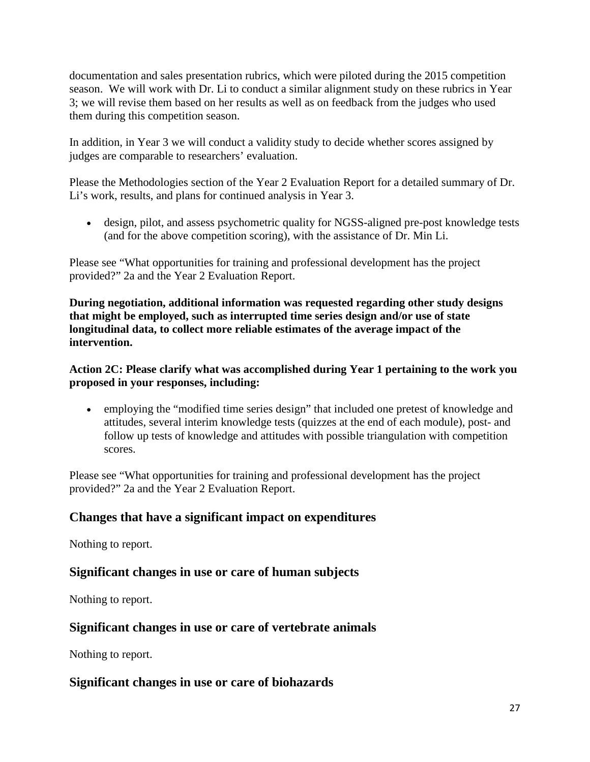documentation and sales presentation rubrics, which were piloted during the 2015 competition season. We will work with Dr. Li to conduct a similar alignment study on these rubrics in Year 3; we will revise them based on her results as well as on feedback from the judges who used them during this competition season.

In addition, in Year 3 we will conduct a validity study to decide whether scores assigned by judges are comparable to researchers' evaluation.

Please the Methodologies section of the Year 2 Evaluation Report for a detailed summary of Dr. Li's work, results, and plans for continued analysis in Year 3.

• design, pilot, and assess psychometric quality for NGSS-aligned pre-post knowledge tests (and for the above competition scoring), with the assistance of Dr. Min Li.

Please see "What opportunities for training and professional development has the project provided?" 2a and the Year 2 Evaluation Report.

**During negotiation, additional information was requested regarding other study designs that might be employed, such as interrupted time series design and/or use of state longitudinal data, to collect more reliable estimates of the average impact of the intervention.**

**Action 2C: Please clarify what was accomplished during Year 1 pertaining to the work you proposed in your responses, including:**

• employing the "modified time series design" that included one pretest of knowledge and attitudes, several interim knowledge tests (quizzes at the end of each module), post- and follow up tests of knowledge and attitudes with possible triangulation with competition scores.

Please see "What opportunities for training and professional development has the project provided?" 2a and the Year 2 Evaluation Report.

#### **Changes that have a significant impact on expenditures**

Nothing to report.

#### **Significant changes in use or care of human subjects**

Nothing to report.

#### **Significant changes in use or care of vertebrate animals**

Nothing to report.

#### **Significant changes in use or care of biohazards**